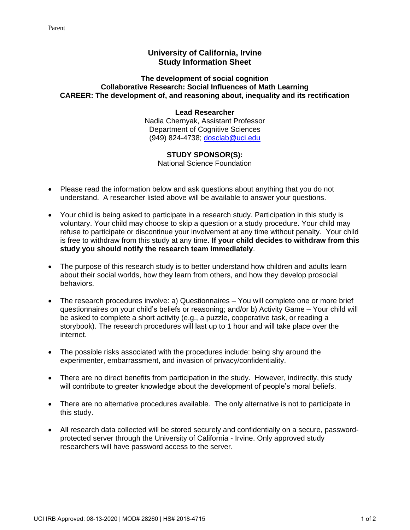## **University of California, Irvine Study Information Sheet**

## **The development of social cognition Collaborative Research: Social Influences of Math Learning CAREER: The development of, and reasoning about, inequality and its rectification**

## **Lead Researcher** Nadia Chernyak, Assistant Professor Department of Cognitive Sciences (949) 824-4738; [dosclab@uci.edu](mailto:dosclab@uci.edu)

## **STUDY SPONSOR(S):**

National Science Foundation

- Please read the information below and ask questions about anything that you do not understand. A researcher listed above will be available to answer your questions.
- Your child is being asked to participate in a research study. Participation in this study is voluntary. Your child may choose to skip a question or a study procedure. Your child may refuse to participate or discontinue your involvement at any time without penalty. Your child is free to withdraw from this study at any time. **If your child decides to withdraw from this study you should notify the research team immediately**.
- The purpose of this research study is to better understand how children and adults learn about their social worlds, how they learn from others, and how they develop prosocial behaviors.
- The research procedures involve: a) Questionnaires You will complete one or more brief questionnaires on your child's beliefs or reasoning; and/or b) Activity Game – Your child will be asked to complete a short activity (e.g., a puzzle, cooperative task, or reading a storybook). The research procedures will last up to 1 hour and will take place over the internet.
- The possible risks associated with the procedures include: being shy around the experimenter, embarrassment, and invasion of privacy/confidentiality.
- There are no direct benefits from participation in the study. However, indirectly, this study will contribute to greater knowledge about the development of people's moral beliefs.
- There are no alternative procedures available. The only alternative is not to participate in this study.
- All research data collected will be stored securely and confidentially on a secure, passwordprotected server through the University of California - Irvine. Only approved study researchers will have password access to the server.